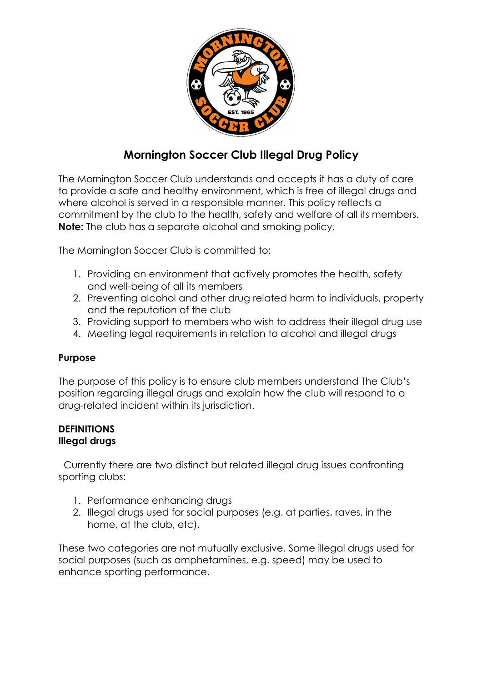

# Mornington Soccer Club Illegal Drug Policy

The Mornington Soccer Club understands and accepts it has a duty of care to provide a safe and healthy environment, which is free of illegal drugs and where alcohol is served in a responsible manner. This policy reflects a commitment by the club to the health, safety and welfare of all its members. Note: The club has a separate alcohol and smoking policy.

The Mornington Soccer Club is committed to:

- 1. Providing an environment that actively promotes the health, safety and well-being of all its members
- 2. Preventing alcohol and other drug related harm to individuals, property and the reputation of the club
- 3. Providing support to members who wish to address their illegal drug use
- 4. Meeting legal requirements in relation to alcohol and illegal drugs

# Purpose

The purpose of this policy is to ensure club members understand The Club's position regarding illegal drugs and explain how the club will respond to a drug-related incident within its jurisdiction.

# **DEFINITIONS** Illegal drugs

 Currently there are two distinct but related illegal drug issues confronting sporting clubs:

- 1. Performance enhancing drugs
- 2. Illegal drugs used for social purposes (e.g. at parties, raves, in the home, at the club, etc).

These two categories are not mutually exclusive. Some illegal drugs used for social purposes (such as amphetamines, e.g. speed) may be used to enhance sporting performance.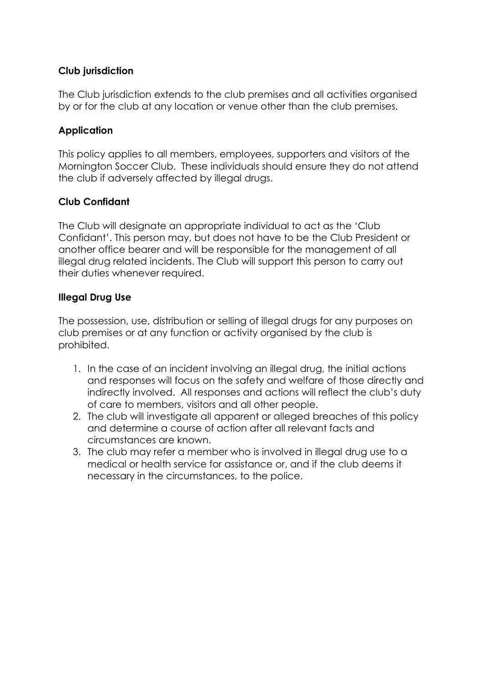## Club jurisdiction

The Club jurisdiction extends to the club premises and all activities organised by or for the club at any location or venue other than the club premises.

## **Application**

This policy applies to all members, employees, supporters and visitors of the Mornington Soccer Club. These individuals should ensure they do not attend the club if adversely affected by illegal drugs.

## Club Confidant

The Club will designate an appropriate individual to act as the 'Club Confidant'. This person may, but does not have to be the Club President or another office bearer and will be responsible for the management of all illegal drug related incidents. The Club will support this person to carry out their duties whenever required.

## Illegal Drug Use

The possession, use, distribution or selling of illegal drugs for any purposes on club premises or at any function or activity organised by the club is prohibited.

- 1. In the case of an incident involving an illegal drug, the initial actions and responses will focus on the safety and welfare of those directly and indirectly involved. All responses and actions will reflect the club's duty of care to members, visitors and all other people.
- 2. The club will investigate all apparent or alleged breaches of this policy and determine a course of action after all relevant facts and circumstances are known.
- 3. The club may refer a member who is involved in illegal drug use to a medical or health service for assistance or, and if the club deems it necessary in the circumstances, to the police.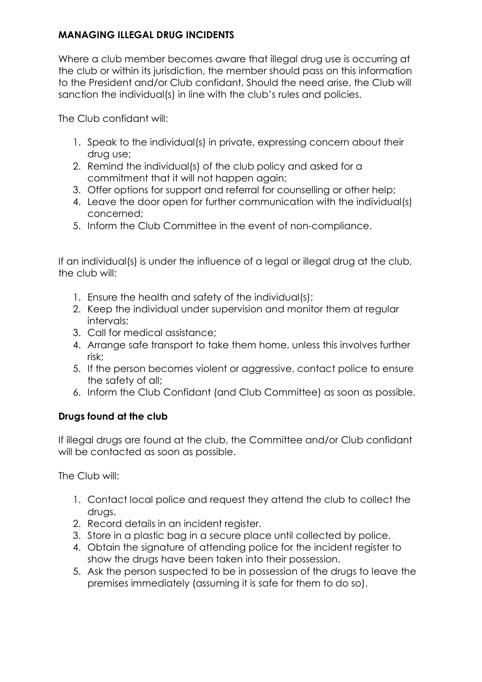# MANAGING ILLEGAL DRUG INCIDENTS

Where a club member becomes aware that illegal drug use is occurring at the club or within its jurisdiction, the member should pass on this information to the President and/or Club confidant. Should the need arise, the Club will sanction the individual(s) in line with the club's rules and policies.

The Club confidant will:

- 1. Speak to the individual(s) in private, expressing concern about their drug use;
- 2. Remind the individual(s) of the club policy and asked for a commitment that it will not happen again;
- 3. Offer options for support and referral for counselling or other help;
- 4. Leave the door open for further communication with the individual(s) concerned;
- 5. Inform the Club Committee in the event of non-compliance.

If an individual(s) is under the influence of a leagl or illegal drug at the club, the club will:

- 1. Ensure the health and safety of the individual(s);
- 2. Keep the individual under supervision and monitor them at regular intervals;
- 3. Call for medical assistance;
- 4. Arrange safe transport to take them home, unless this involves further risk;
- 5. If the person becomes violent or aggressive, contact police to ensure the safety of all;
- 6. Inform the Club Confidant (and Club Committee) as soon as possible.

# Drugs found at the club

If illegal drugs are found at the club, the Committee and/or Club confidant will be contacted as soon as possible.

The Club will:

- 1. Contact local police and request they attend the club to collect the drugs.
- 2. Record details in an incident register.
- 3. Store in a plastic bag in a secure place until collected by police.
- 4. Obtain the signature of attending police for the incident register to show the drugs have been taken into their possession.
- 5. Ask the person suspected to be in possession of the drugs to leave the premises immediately (assuming it is safe for them to do so).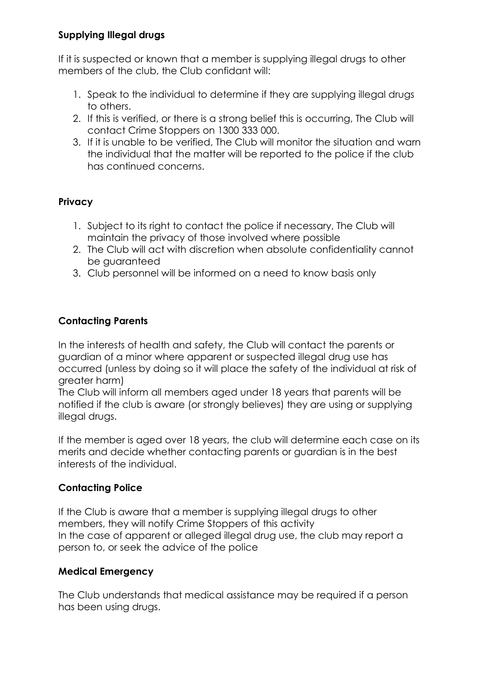## Supplying Illegal drugs

If it is suspected or known that a member is supplying illegal drugs to other members of the club, the Club confidant will:

- 1. Speak to the individual to determine if they are supplying illegal drugs to others.
- 2. If this is verified, or there is a strong belief this is occurring, The Club will contact Crime Stoppers on 1300 333 000.
- 3. If it is unable to be verified, The Club will monitor the situation and warn the individual that the matter will be reported to the police if the club has continued concerns.

# **Privacy**

- 1. Subject to its right to contact the police if necessary, The Club will maintain the privacy of those involved where possible
- 2. The Club will act with discretion when absolute confidentiality cannot be guaranteed
- 3. Club personnel will be informed on a need to know basis only

# Contacting Parents

In the interests of health and safety, the Club will contact the parents or guardian of a minor where apparent or suspected illegal drug use has occurred (unless by doing so it will place the safety of the individual at risk of greater harm)

The Club will inform all members aged under 18 years that parents will be notified if the club is aware (or strongly believes) they are using or supplying illegal drugs.

If the member is aged over 18 years, the club will determine each case on its merits and decide whether contacting parents or guardian is in the best interests of the individual.

# Contacting Police

If the Club is aware that a member is supplying illegal drugs to other members, they will notify Crime Stoppers of this activity In the case of apparent or alleged illegal drug use, the club may report a person to, or seek the advice of the police

# Medical Emergency

The Club understands that medical assistance may be required if a person has been using drugs.